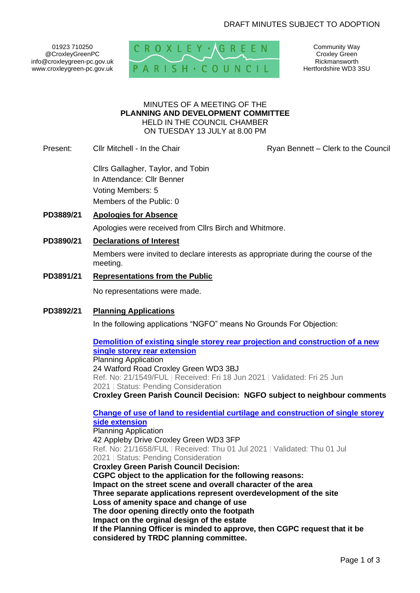## DRAFT MINUTES SUBJECT TO ADOPTION

01923 710250 @CroxleyGreenPC info@croxleygreen-pc.gov.uk www.croxleygreen-pc.gov.uk



Community Way Croxley Green Rickmansworth Hertfordshire WD3 3SU

#### MINUTES OF A MEETING OF THE **PLANNING AND DEVELOPMENT COMMITTEE** HELD IN THE COUNCIL CHAMBER ON TUESDAY 13 JULY at 8.00 PM

Present: Cllr Mitchell - In the Chair **Ryan Bennett – Clerk to the Council** 

Cllrs Gallagher, Taylor, and Tobin In Attendance: Cllr Benner Voting Members: 5 Members of the Public: 0

- **PD3889/21 Apologies for Absence** Apologies were received from Cllrs Birch and Whitmore.
- **PD3890/21 Declarations of Interest**

Members were invited to declare interests as appropriate during the course of the meeting.

**PD3891/21 Representations from the Public**

No representations were made.

**PD3892/21 Planning Applications**

In the following applications "NGFO" means No Grounds For Objection:

**[Demolition of existing single storey rear](https://www3.threerivers.gov.uk/online-applications/applicationDetails.do?activeTab=summary&keyVal=QUVY8HQFGAJ00&prevPage=inTray) projection and construction of a new [single storey rear extension](https://www3.threerivers.gov.uk/online-applications/applicationDetails.do?activeTab=summary&keyVal=QUVY8HQFGAJ00&prevPage=inTray)** Planning Application 24 Watford Road Croxley Green WD3 3BJ Ref. No: 21/1549/FUL | Received: Fri 18 Jun 2021 | Validated: Fri 25 Jun 2021 | Status: Pending Consideration

**Croxley Green Parish Council Decision: NGFO subject to neighbour comments**

**[Change of use of land to residential curtilage and construction of single storey](https://www3.threerivers.gov.uk/online-applications/applicationDetails.do?activeTab=summary&keyVal=QVK0VDQFGG900&prevPage=inTray)  [side extension](https://www3.threerivers.gov.uk/online-applications/applicationDetails.do?activeTab=summary&keyVal=QVK0VDQFGG900&prevPage=inTray)** Planning Application 42 Appleby Drive Croxley Green WD3 3FP Ref. No: 21/1658/FUL | Received: Thu 01 Jul 2021 | Validated: Thu 01 Jul 2021 | Status: Pending Consideration **Croxley Green Parish Council Decision: CGPC object to the application for the following reasons: Impact on the street scene and overall character of the area Three separate applications represent overdevelopment of the site Loss of amenity space and change of use The door opening directly onto the footpath Impact on the orginal design of the estate If the Planning Officer is minded to approve, then CGPC request that it be considered by TRDC planning committee.**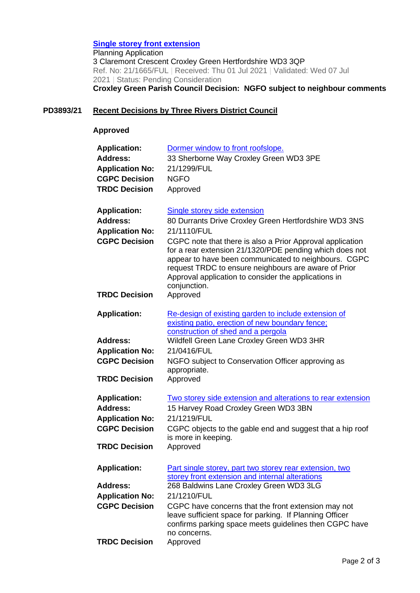### **[Single storey front extension](https://www3.threerivers.gov.uk/online-applications/applicationDetails.do?activeTab=summary&keyVal=QVK4DWQF0D100&prevPage=inTray)**

Planning Application 3 Claremont Crescent Croxley Green Hertfordshire WD3 3QP Ref. No: 21/1665/FUL | Received: Thu 01 Jul 2021 | Validated: Wed 07 Jul 2021 | Status: Pending Consideration **Croxley Green Parish Council Decision: NGFO subject to neighbour comments**

## **PD3893/21 Recent Decisions by Three Rivers District Council**

#### **Approved**

| <b>Application:</b>    | Dormer window to front roofslope.                                                                                                                                                                                                                                                                            |
|------------------------|--------------------------------------------------------------------------------------------------------------------------------------------------------------------------------------------------------------------------------------------------------------------------------------------------------------|
| <b>Address:</b>        | 33 Sherborne Way Croxley Green WD3 3PE                                                                                                                                                                                                                                                                       |
| <b>Application No:</b> | 21/1299/FUL                                                                                                                                                                                                                                                                                                  |
| <b>CGPC Decision</b>   | <b>NGFO</b>                                                                                                                                                                                                                                                                                                  |
| <b>TRDC Decision</b>   | Approved                                                                                                                                                                                                                                                                                                     |
|                        |                                                                                                                                                                                                                                                                                                              |
| <b>Application:</b>    | <b>Single storey side extension</b>                                                                                                                                                                                                                                                                          |
| <b>Address:</b>        |                                                                                                                                                                                                                                                                                                              |
|                        | 80 Durrants Drive Croxley Green Hertfordshire WD3 3NS                                                                                                                                                                                                                                                        |
| <b>Application No:</b> | 21/1110/FUL                                                                                                                                                                                                                                                                                                  |
| <b>CGPC Decision</b>   | CGPC note that there is also a Prior Approval application<br>for a rear extension 21/1320/PDE pending which does not<br>appear to have been communicated to neighbours. CGPC<br>request TRDC to ensure neighbours are aware of Prior<br>Approval application to consider the applications in<br>conjunction. |
| <b>TRDC Decision</b>   | Approved                                                                                                                                                                                                                                                                                                     |
|                        |                                                                                                                                                                                                                                                                                                              |
| <b>Application:</b>    | Re-design of existing garden to include extension of<br>existing patio, erection of new boundary fence;<br>construction of shed and a pergola                                                                                                                                                                |
| <b>Address:</b>        | Wildfell Green Lane Croxley Green WD3 3HR                                                                                                                                                                                                                                                                    |
| <b>Application No:</b> | 21/0416/FUL                                                                                                                                                                                                                                                                                                  |
| <b>CGPC Decision</b>   | NGFO subject to Conservation Officer approving as                                                                                                                                                                                                                                                            |
|                        | appropriate.                                                                                                                                                                                                                                                                                                 |
| <b>TRDC Decision</b>   | Approved                                                                                                                                                                                                                                                                                                     |
|                        |                                                                                                                                                                                                                                                                                                              |
| <b>Application:</b>    | Two storey side extension and alterations to rear extension                                                                                                                                                                                                                                                  |
| Address:               | 15 Harvey Road Croxley Green WD3 3BN                                                                                                                                                                                                                                                                         |
| <b>Application No:</b> | 21/1219/FUL                                                                                                                                                                                                                                                                                                  |
| <b>CGPC Decision</b>   | CGPC objects to the gable end and suggest that a hip roof                                                                                                                                                                                                                                                    |
|                        | is more in keeping.                                                                                                                                                                                                                                                                                          |
| <b>TRDC Decision</b>   | Approved                                                                                                                                                                                                                                                                                                     |
|                        |                                                                                                                                                                                                                                                                                                              |
| <b>Application:</b>    | Part single storey, part two storey rear extension, two                                                                                                                                                                                                                                                      |
|                        | storey front extension and internal alterations                                                                                                                                                                                                                                                              |
| <b>Address:</b>        | 268 Baldwins Lane Croxley Green WD3 3LG                                                                                                                                                                                                                                                                      |
| <b>Application No:</b> | 21/1210/FUL                                                                                                                                                                                                                                                                                                  |
| <b>CGPC Decision</b>   | CGPC have concerns that the front extension may not                                                                                                                                                                                                                                                          |
|                        | leave sufficient space for parking. If Planning Officer<br>confirms parking space meets guidelines then CGPC have<br>no concerns.                                                                                                                                                                            |
| <b>TRDC Decision</b>   | Approved                                                                                                                                                                                                                                                                                                     |